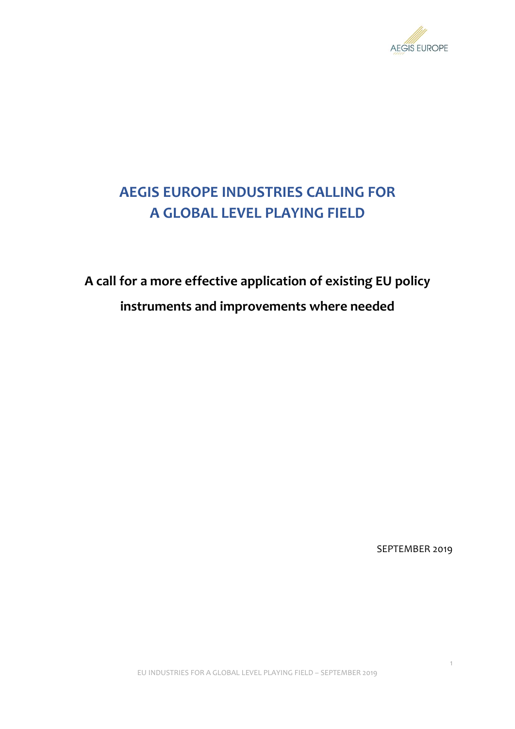

## **AEGIS EUROPE INDUSTRIES CALLING FOR A GLOBAL LEVEL PLAYING FIELD**

## **A call for a more effective application of existing EU policy instruments and improvements where needed**

SEPTEMBER 2019

1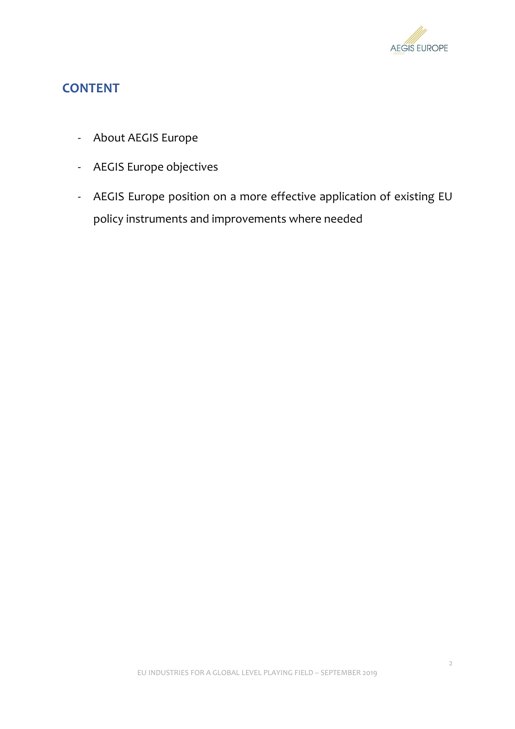

## **CONTENT**

- About AEGIS Europe
- AEGIS Europe objectives
- AEGIS Europe position on a more effective application of existing EU policy instruments and improvements where needed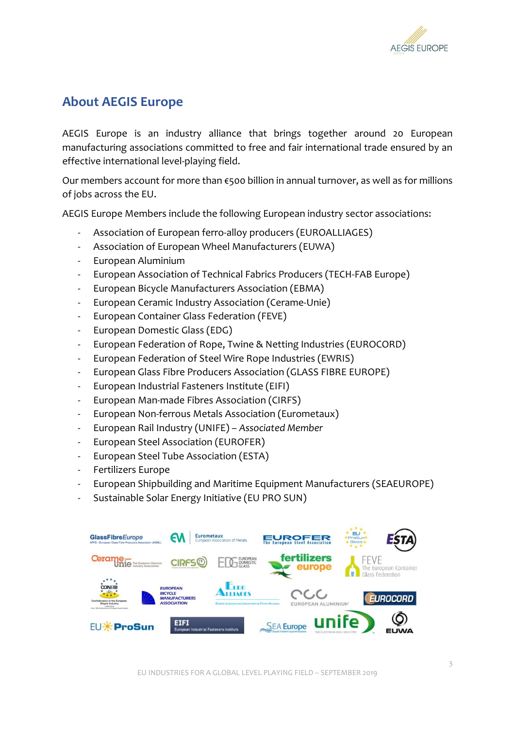

### **About AEGIS Europe**

AEGIS Europe is an industry alliance that brings together around 20 European manufacturing associations committed to free and fair international trade ensured by an effective international level-playing field.

Our members account for more than €500 billion in annual turnover, as well as for millions of jobs across the EU.

AEGIS Europe Members include the following European industry sector associations:

- Association of European ferro-alloy producers (EUROALLIAGES)
- Association of European Wheel Manufacturers (EUWA)
- European Aluminium
- European Association of Technical Fabrics Producers (TECH-FAB Europe)
- European Bicycle Manufacturers Association (EBMA)
- European Ceramic Industry Association (Cerame-Unie)
- European Container Glass Federation (FEVE)
- European Domestic Glass (EDG)
- European Federation of Rope, Twine & Netting Industries (EUROCORD)
- European Federation of Steel Wire Rope Industries (EWRIS)
- European Glass Fibre Producers Association (GLASS FIBRE EUROPE)
- European Industrial Fasteners Institute (EIFI)
- European Man-made Fibres Association (CIRFS)
- European Non-ferrous Metals Association (Eurometaux)
- European Rail Industry (UNIFE) *Associated Member*
- European Steel Association (EUROFER)
- European Steel Tube Association (ESTA)
- Fertilizers Europe
- European Shipbuilding and Maritime Equipment Manufacturers (SEAEUROPE)
- Sustainable Solar Energy Initiative (EU PRO SUN)

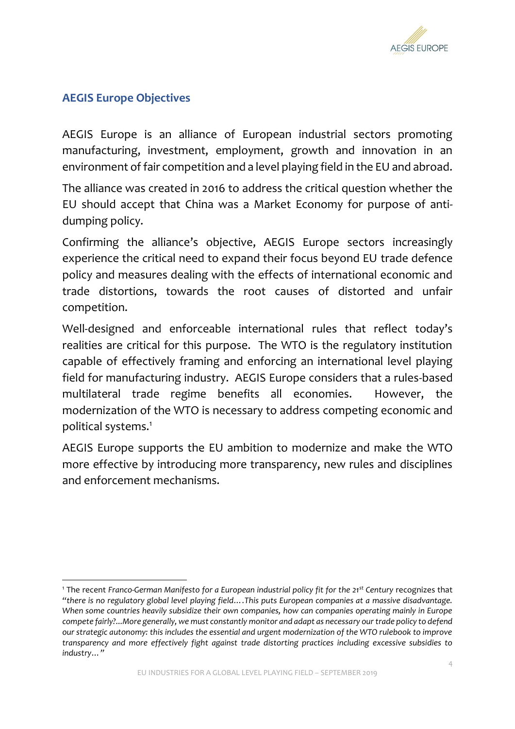

#### **AEGIS Europe Objectives**

AEGIS Europe is an alliance of European industrial sectors promoting manufacturing, investment, employment, growth and innovation in an environment of fair competition and a level playing field in the EU and abroad.

The alliance was created in 2016 to address the critical question whether the EU should accept that China was a Market Economy for purpose of antidumping policy.

Confirming the alliance's objective, AEGIS Europe sectors increasingly experience the critical need to expand their focus beyond EU trade defence policy and measures dealing with the effects of international economic and trade distortions, towards the root causes of distorted and unfair competition.

Well-designed and enforceable international rules that reflect today's realities are critical for this purpose. The WTO is the regulatory institution capable of effectively framing and enforcing an international level playing field for manufacturing industry. AEGIS Europe considers that a rules-based multilateral trade regime benefits all economies. However, the modernization of the WTO is necessary to address competing economic and political systems.<sup>1</sup>

AEGIS Europe supports the EU ambition to modernize and make the WTO more effective by introducing more transparency, new rules and disciplines and enforcement mechanisms.

<sup>1</sup> The recent *Franco-German Manifesto for a European industrial policy fit for the 21st Century* recognizes that *"there is no regulatory global level playing field….This puts European companies at a massive disadvantage. When some countries heavily subsidize their own companies, how can companies operating mainly in Europe compete fairly?...More generally, we must constantly monitor and adapt as necessary our trade policy to defend our strategic autonomy: this includes the essential and urgent modernization of the WTO rulebook to improve transparency and more effectively fight against trade distorting practices including excessive subsidies to industry…"*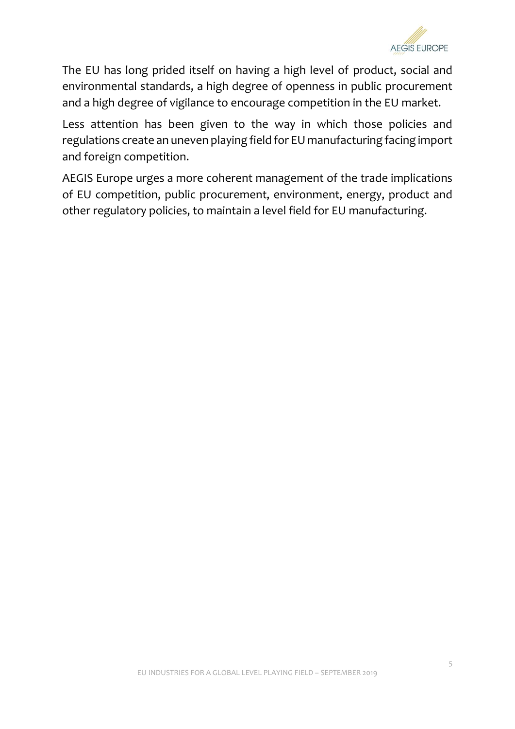

The EU has long prided itself on having a high level of product, social and environmental standards, a high degree of openness in public procurement and a high degree of vigilance to encourage competition in the EU market.

Less attention has been given to the way in which those policies and regulations create an uneven playing field for EU manufacturing facing import and foreign competition.

AEGIS Europe urges a more coherent management of the trade implications of EU competition, public procurement, environment, energy, product and other regulatory policies, to maintain a level field for EU manufacturing.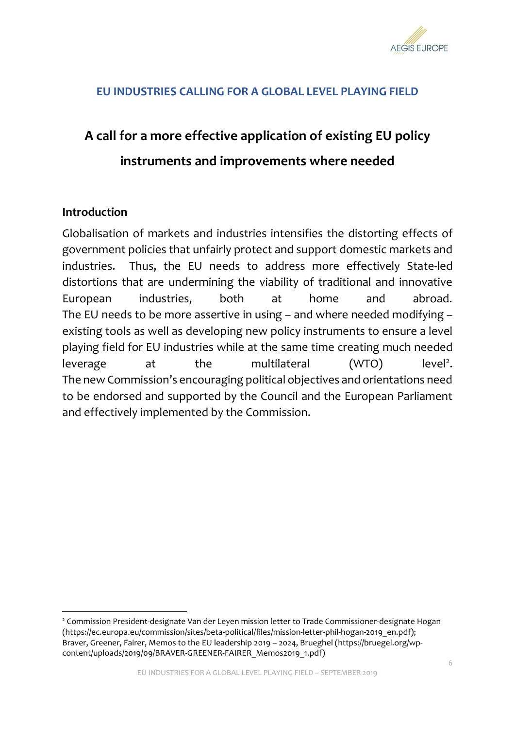

#### **EU INDUSTRIES CALLING FOR A GLOBAL LEVEL PLAYING FIELD**

# **A call for a more effective application of existing EU policy instruments and improvements where needed**

#### **Introduction**

Globalisation of markets and industries intensifies the distorting effects of government policies that unfairly protect and support domestic markets and industries. Thus, the EU needs to address more effectively State-led distortions that are undermining the viability of traditional and innovative European industries, both at home and abroad. The EU needs to be more assertive in using – and where needed modifying – existing tools as well as developing new policy instruments to ensure a level playing field for EU industries while at the same time creating much needed  $leverage$  at the multilateral  $(WTO)$  $level<sup>2</sup>$ . The new Commission's encouraging political objectives and orientations need to be endorsed and supported by the Council and the European Parliament and effectively implemented by the Commission.

<sup>2</sup> Commission President-designate Van der Leyen mission letter to Trade Commissioner-designate Hogan (https://ec.europa.eu/commission/sites/beta-political/files/mission-letter-phil-hogan-2019\_en.pdf); Braver, Greener, Fairer, Memos to the EU leadership 2019 – 2024, Brueghel (https://bruegel.org/wpcontent/uploads/2019/09/BRAVER-GREENER-FAIRER\_Memos2019\_1.pdf)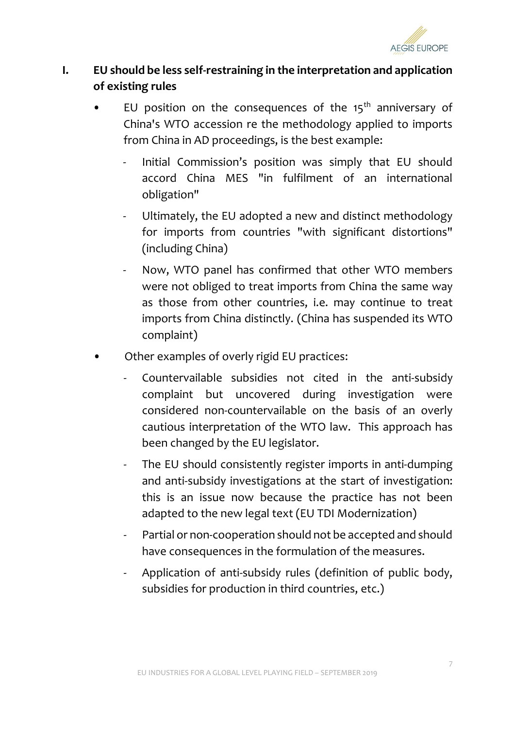

### **I. EU should be less self-restraining in the interpretation and application of existing rules**

- EU position on the consequences of the  $15<sup>th</sup>$  anniversary of China's WTO accession re the methodology applied to imports from China in AD proceedings, is the best example:
	- Initial Commission's position was simply that EU should accord China MES "in fulfilment of an international obligation"
	- Ultimately, the EU adopted a new and distinct methodology for imports from countries "with significant distortions" (including China)
	- Now, WTO panel has confirmed that other WTO members were not obliged to treat imports from China the same way as those from other countries, i.e. may continue to treat imports from China distinctly. (China has suspended its WTO complaint)
- Other examples of overly rigid EU practices:
	- Countervailable subsidies not cited in the anti-subsidy complaint but uncovered during investigation were considered non-countervailable on the basis of an overly cautious interpretation of the WTO law. This approach has been changed by the EU legislator.
	- The EU should consistently register imports in anti-dumping and anti-subsidy investigations at the start of investigation: this is an issue now because the practice has not been adapted to the new legal text (EU TDI Modernization)
	- Partial or non-cooperation should not be accepted and should have consequences in the formulation of the measures.
	- Application of anti-subsidy rules (definition of public body, subsidies for production in third countries, etc.)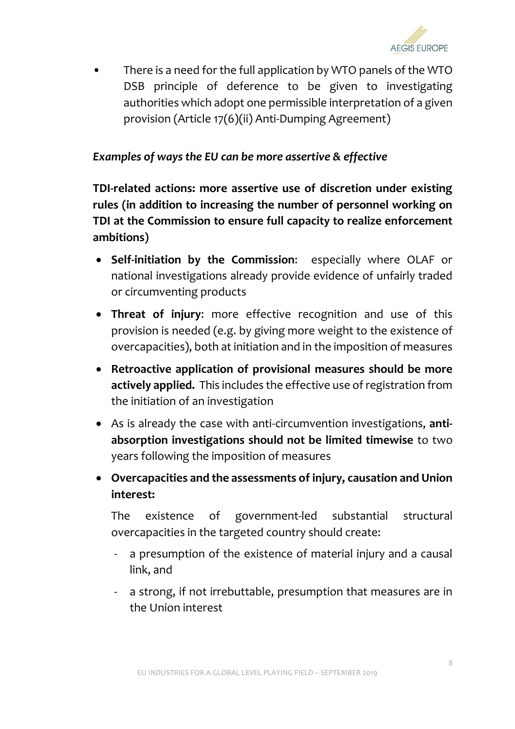

• There is a need for the full application by WTO panels of the WTO DSB principle of deference to be given to investigating authorities which adopt one permissible interpretation of a given provision (Article 17(6)(ii) Anti-Dumping Agreement)

#### *Examples of ways the EU can be more assertive & effective*

**TDI-related actions: more assertive use of discretion under existing rules (in addition to increasing the number of personnel working on TDI at the Commission to ensure full capacity to realize enforcement ambitions)**

- **Self-initiation by the Commission**: especially where OLAF or national investigations already provide evidence of unfairly traded or circumventing products
- **Threat of injury**: more effective recognition and use of this provision is needed (e.g. by giving more weight to the existence of overcapacities), both at initiation and in the imposition of measures
- **Retroactive application of provisional measures should be more actively applied.** This includes the effective use of registration from the initiation of an investigation
- As is already the case with anti-circumvention investigations, **antiabsorption investigations should not be limited timewise** to two years following the imposition of measures
- **Overcapacities and the assessments of injury, causation and Union interest:**

The existence of government-led substantial structural overcapacities in the targeted country should create:

- a presumption of the existence of material injury and a causal link, and
- a strong, if not irrebuttable, presumption that measures are in the Union interest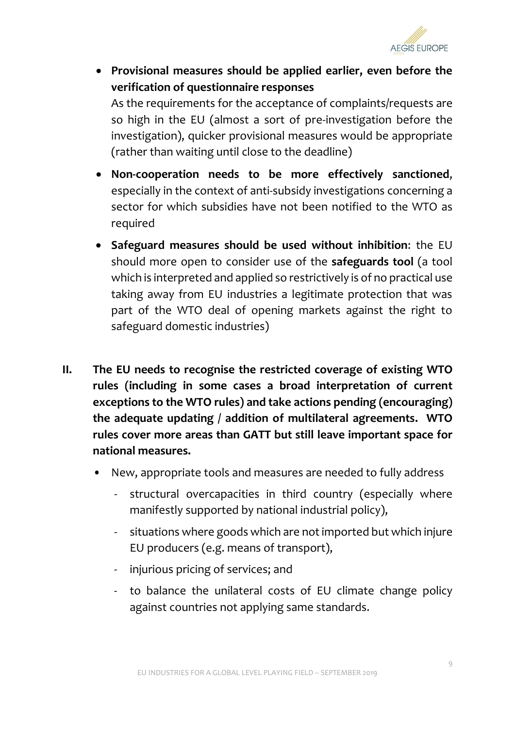

• **Provisional measures should be applied earlier, even before the verification of questionnaire responses**

As the requirements for the acceptance of complaints/requests are so high in the EU (almost a sort of pre-investigation before the investigation), quicker provisional measures would be appropriate (rather than waiting until close to the deadline)

- **Non-cooperation needs to be more effectively sanctioned**, especially in the context of anti-subsidy investigations concerning a sector for which subsidies have not been notified to the WTO as required
- **Safeguard measures should be used without inhibition**: the EU should more open to consider use of the **safeguards tool** (a tool which is interpreted and applied so restrictively is of no practical use taking away from EU industries a legitimate protection that was part of the WTO deal of opening markets against the right to safeguard domestic industries)
- **II. The EU needs to recognise the restricted coverage of existing WTO rules (including in some cases a broad interpretation of current exceptions to the WTO rules) and take actions pending (encouraging) the adequate updating / addition of multilateral agreements. WTO rules cover more areas than GATT but still leave important space for national measures.**
	- New, appropriate tools and measures are needed to fully address
		- structural overcapacities in third country (especially where manifestly supported by national industrial policy),
		- situations where goods which are not imported but which injure EU producers (e.g. means of transport),
		- injurious pricing of services; and
		- to balance the unilateral costs of EU climate change policy against countries not applying same standards.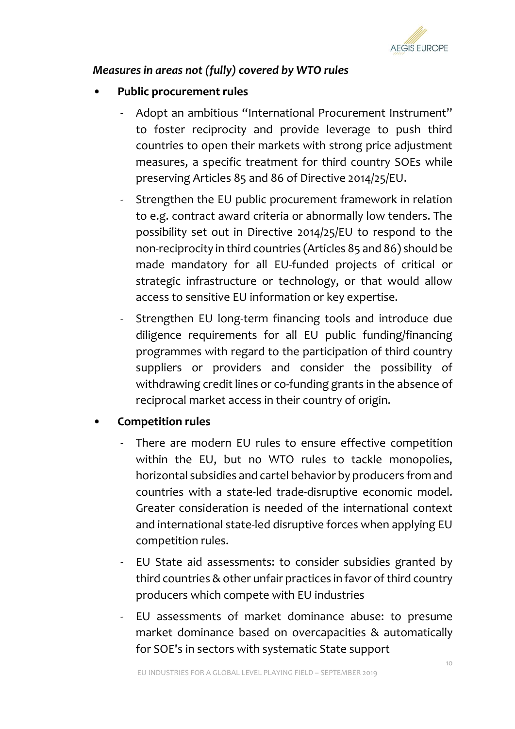

#### *Measures in areas not (fully) covered by WTO rules*

#### • **Public procurement rules**

- Adopt an ambitious "International Procurement Instrument" to foster reciprocity and provide leverage to push third countries to open their markets with strong price adjustment measures, a specific treatment for third country SOEs while preserving Articles 85 and 86 of Directive 2014/25/EU.
- Strengthen the EU public procurement framework in relation to e.g. contract award criteria or abnormally low tenders. The possibility set out in Directive 2014/25/EU to respond to the non-reciprocity in third countries (Articles 85 and 86) should be made mandatory for all EU-funded projects of critical or strategic infrastructure or technology, or that would allow access to sensitive EU information or key expertise.
- Strengthen EU long-term financing tools and introduce due diligence requirements for all EU public funding/financing programmes with regard to the participation of third country suppliers or providers and consider the possibility of withdrawing credit lines or co-funding grants in the absence of reciprocal market access in their country of origin.

#### • **Competition rules**

- There are modern EU rules to ensure effective competition within the EU, but no WTO rules to tackle monopolies, horizontal subsidies and cartel behavior by producers from and countries with a state-led trade-disruptive economic model. Greater consideration is needed of the international context and international state-led disruptive forces when applying EU competition rules.
- EU State aid assessments: to consider subsidies granted by third countries & other unfair practices in favor of third country producers which compete with EU industries
- EU assessments of market dominance abuse: to presume market dominance based on overcapacities & automatically for SOE's in sectors with systematic State support